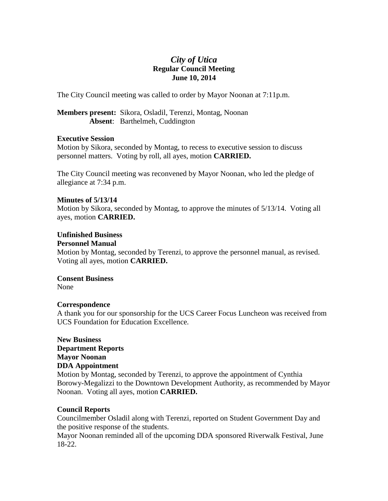# *City of Utica* **Regular Council Meeting June 10, 2014**

The City Council meeting was called to order by Mayor Noonan at 7:11p.m.

**Members present:** Sikora, Osladil, Terenzi, Montag, Noonan **Absent**: Barthelmeh, Cuddington

# **Executive Session**

Motion by Sikora, seconded by Montag, to recess to executive session to discuss personnel matters. Voting by roll, all ayes, motion **CARRIED.**

The City Council meeting was reconvened by Mayor Noonan, who led the pledge of allegiance at 7:34 p.m.

# **Minutes of 5/13/14**

Motion by Sikora, seconded by Montag, to approve the minutes of 5/13/14. Voting all ayes, motion **CARRIED.**

# **Unfinished Business**

# **Personnel Manual**

Motion by Montag, seconded by Terenzi, to approve the personnel manual, as revised. Voting all ayes, motion **CARRIED.**

# **Consent Business**

None

# **Correspondence**

A thank you for our sponsorship for the UCS Career Focus Luncheon was received from UCS Foundation for Education Excellence.

# **New Business Department Reports Mayor Noonan DDA Appointment**

Motion by Montag, seconded by Terenzi, to approve the appointment of Cynthia Borowy-Megalizzi to the Downtown Development Authority, as recommended by Mayor Noonan. Voting all ayes, motion **CARRIED.**

# **Council Reports**

Councilmember Osladil along with Terenzi, reported on Student Government Day and the positive response of the students.

Mayor Noonan reminded all of the upcoming DDA sponsored Riverwalk Festival, June 18-22.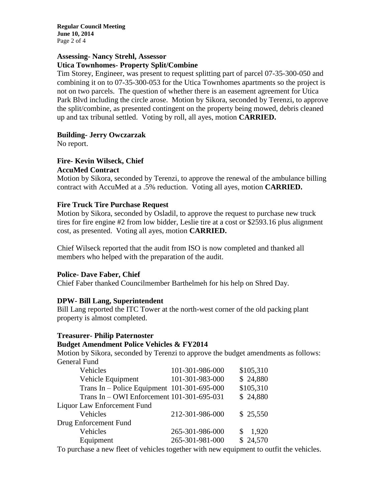**Regular Council Meeting June 10, 2014** Page 2 of 4

# **Assessing- Nancy Strehl, Assessor Utica Townhomes- Property Split/Combine**

Tim Storey, Engineer, was present to request splitting part of parcel 07-35-300-050 and combining it on to 07-35-300-053 for the Utica Townhomes apartments so the project is not on two parcels. The question of whether there is an easement agreement for Utica Park Blvd including the circle arose. Motion by Sikora, seconded by Terenzi, to approve the split/combine, as presented contingent on the property being mowed, debris cleaned up and tax tribunal settled. Voting by roll, all ayes, motion **CARRIED.**

# **Building- Jerry Owczarzak**

No report.

#### **Fire- Kevin Wilseck, Chief AccuMed Contract**

Motion by Sikora, seconded by Terenzi, to approve the renewal of the ambulance billing contract with AccuMed at a .5% reduction. Voting all ayes, motion **CARRIED.**

# **Fire Truck Tire Purchase Request**

Motion by Sikora, seconded by Osladil, to approve the request to purchase new truck tires for fire engine #2 from low bidder, Leslie tire at a cost or \$2593.16 plus alignment cost, as presented. Voting all ayes, motion **CARRIED.**

Chief Wilseck reported that the audit from ISO is now completed and thanked all members who helped with the preparation of the audit.

# **Police- Dave Faber, Chief**

Chief Faber thanked Councilmember Barthelmeh for his help on Shred Day.

# **DPW- Bill Lang, Superintendent**

Bill Lang reported the ITC Tower at the north-west corner of the old packing plant property is almost completed.

# **Treasurer- Philip Paternoster**

# **Budget Amendment Police Vehicles & FY2014**

Motion by Sikora, seconded by Terenzi to approve the budget amendments as follows: General Fund

| Vehicles                                      | 101-301-986-000 | \$105,310 |
|-----------------------------------------------|-----------------|-----------|
| Vehicle Equipment                             | 101-301-983-000 | \$24,880  |
| Trans In – Police Equipment $101-301-695-000$ |                 | \$105,310 |
| Trans In - OWI Enforcement 101-301-695-031    |                 | \$24,880  |
| Liquor Law Enforcement Fund                   |                 |           |
| Vehicles                                      | 212-301-986-000 | \$25,550  |
| Drug Enforcement Fund                         |                 |           |
| Vehicles                                      | 265-301-986-000 | 1,920     |
| Equipment                                     | 265-301-981-000 | \$24,570  |
|                                               |                 |           |

To purchase a new fleet of vehicles together with new equipment to outfit the vehicles.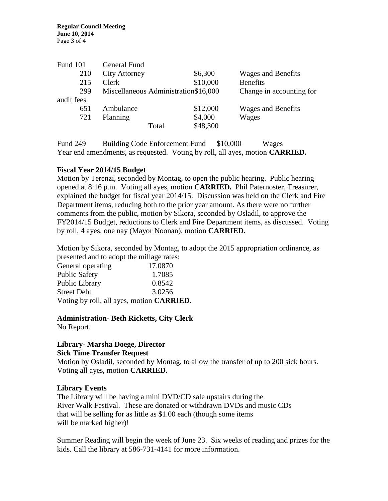| General Fund         |          |                                      |
|----------------------|----------|--------------------------------------|
| <b>City Attorney</b> | \$6,300  | <b>Wages and Benefits</b>            |
| Clerk                | \$10,000 | <b>Benefits</b>                      |
|                      |          | Change in accounting for             |
|                      |          |                                      |
| Ambulance            | \$12,000 | <b>Wages and Benefits</b>            |
| Planning             | \$4,000  | Wages                                |
| Total                | \$48,300 |                                      |
|                      |          | Miscellaneous Administration\$16,000 |

Fund 249 Building Code Enforcement Fund \$10,000 Wages Year end amendments, as requested. Voting by roll, all ayes, motion **CARRIED.**

# **Fiscal Year 2014/15 Budget**

Motion by Terenzi, seconded by Montag, to open the public hearing. Public hearing opened at 8:16 p.m. Voting all ayes, motion **CARRIED.** Phil Paternoster, Treasurer, explained the budget for fiscal year 2014/15. Discussion was held on the Clerk and Fire Department items, reducing both to the prior year amount. As there were no further comments from the public, motion by Sikora, seconded by Osladil, to approve the FY2014/15 Budget, reductions to Clerk and Fire Department items, as discussed. Voting by roll, 4 ayes, one nay (Mayor Noonan), motion **CARRIED.**

Motion by Sikora, seconded by Montag, to adopt the 2015 appropriation ordinance, as presented and to adopt the millage rates:

| General operating    | 17.0870                                           |
|----------------------|---------------------------------------------------|
| <b>Public Safety</b> | 1.7085                                            |
| Public Library       | 0.8542                                            |
| <b>Street Debt</b>   | 3.0256                                            |
|                      | Voting by roll, all ayes, motion <b>CARRIED</b> . |

**Administration- Beth Ricketts, City Clerk**

No Report.

# **Library- Marsha Doege, Director**

**Sick Time Transfer Request**

Motion by Osladil, seconded by Montag, to allow the transfer of up to 200 sick hours. Voting all ayes, motion **CARRIED.**

# **Library Events**

The Library will be having a mini DVD/CD sale upstairs during the River Walk Festival. These are donated or withdrawn DVDs and music CDs that will be selling for as little as \$1.00 each (though some items will be marked higher)!

Summer Reading will begin the week of June 23. Six weeks of reading and prizes for the kids. Call the library at 586-731-4141 for more information.